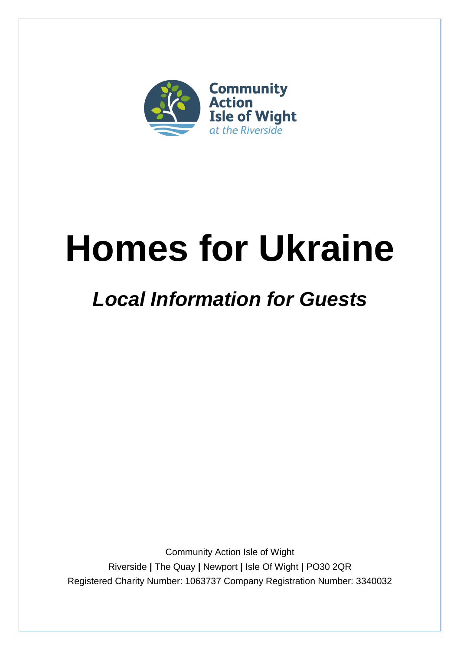

# **Homes for Ukraine**

# *Local Information for Guests*

Community Action Isle of Wight Riverside **|** The Quay **|** Newport **|** Isle Of Wight **|** PO30 2QR Registered Charity Number: 1063737 Company Registration Number: 3340032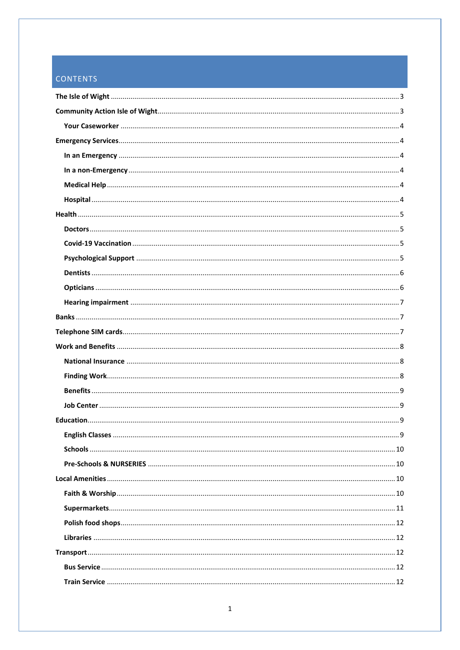# CONTENTS

| <b>English Classes.</b> | . 9 |
|-------------------------|-----|
|                         |     |
|                         |     |
|                         |     |
|                         |     |
|                         |     |
|                         |     |
|                         |     |
|                         |     |
|                         |     |
|                         |     |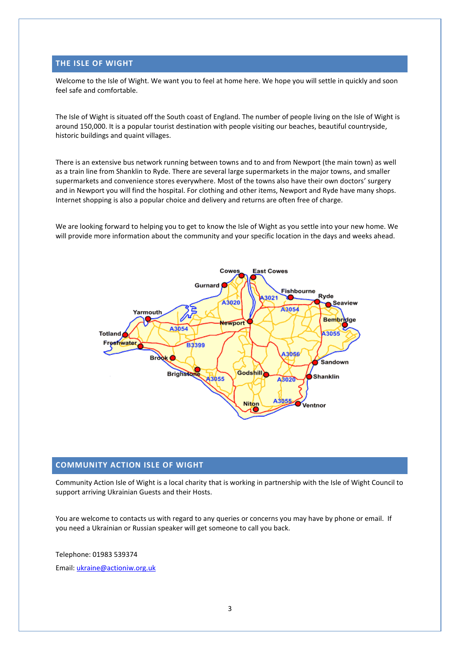# <span id="page-3-0"></span>**THE ISLE OF WIGHT**

Welcome to the Isle of Wight. We want you to feel at home here. We hope you will settle in quickly and soon feel safe and comfortable.

The Isle of Wight is situated off the South coast of England. The number of people living on the Isle of Wight is around 150,000. It is a popular tourist destination with people visiting our beaches, beautiful countryside, historic buildings and quaint villages.

There is an extensive bus network running between towns and to and from Newport (the main town) as well as a train line from Shanklin to Ryde. There are several large supermarkets in the major towns, and smaller supermarkets and convenience stores everywhere. Most of the towns also have their own doctors' surgery and in Newport you will find the hospital. For clothing and other items, Newport and Ryde have many shops. Internet shopping is also a popular choice and delivery and returns are often free of charge.

We are looking forward to helping you to get to know the Isle of Wight as you settle into your new home. We will provide more information about the community and your specific location in the days and weeks ahead.



#### <span id="page-3-1"></span>**COMMUNITY ACTION ISLE OF WIGHT**

Community Action Isle of Wight is a local charity that is working in partnership with the Isle of Wight Council to support arriving Ukrainian Guests and their Hosts.

You are welcome to contacts us with regard to any queries or concerns you may have by phone or email. If you need a Ukrainian or Russian speaker will get someone to call you back.

Telephone: 01983 539374 Email: [ukraine@actioniw.org.uk](mailto:ukraine@actioniw.org.uk)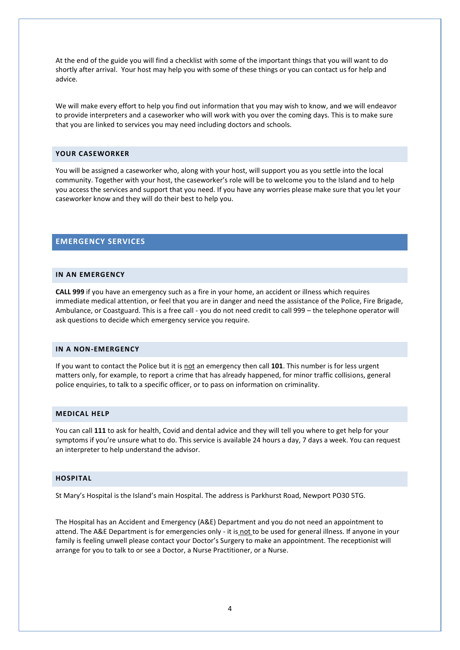At the end of the guide you will find a checklist with some of the important things that you will want to do shortly after arrival. Your host may help you with some of these things or you can contact us for help and advice.

We will make every effort to help you find out information that you may wish to know, and we will endeavor to provide interpreters and a caseworker who will work with you over the coming days. This is to make sure that you are linked to services you may need including doctors and schools.

#### <span id="page-4-0"></span>**YOUR CASEWORKER**

You will be assigned a caseworker who, along with your host, will support you as you settle into the local community. Together with your host, the caseworker's role will be to welcome you to the Island and to help you access the services and support that you need. If you have any worries please make sure that you let your caseworker know and they will do their best to help you.

# <span id="page-4-1"></span>**EMERGENCY SERVICES**

#### <span id="page-4-2"></span>**IN AN EMERGENCY**

**CALL 999** if you have an emergency such as a fire in your home, an accident or illness which requires immediate medical attention, or feel that you are in danger and need the assistance of the Police, Fire Brigade, Ambulance, or Coastguard. This is a free call - you do not need credit to call 999 – the telephone operator will ask questions to decide which emergency service you require.

#### <span id="page-4-3"></span>**IN A NON-EMERGENCY**

If you want to contact the Police but it is not an emergency then call 101. This number is for less urgent matters only, for example, to report a crime that has already happened, for minor traffic collisions, general police enquiries, to talk to a specific officer, or to pass on information on criminality.

#### <span id="page-4-4"></span>**MEDICAL HELP**

You can call **111** to ask for health, Covid and dental advice and they will tell you where to get help for your symptoms if you're unsure what to do. This service is available 24 hours a day, 7 days a week. You can request an interpreter to help understand the advisor.

# <span id="page-4-5"></span>**HOSPITAL**

St Mary's Hospital is the Island's main Hospital. The address is Parkhurst Road, Newport PO30 5TG.

The Hospital has an Accident and Emergency (A&E) Department and you do not need an appointment to attend. The A&E Department is for emergencies only - it is not to be used for general illness. If anyone in your family is feeling unwell please contact your Doctor's Surgery to make an appointment. The receptionist will arrange for you to talk to or see a Doctor, a Nurse Practitioner, or a Nurse.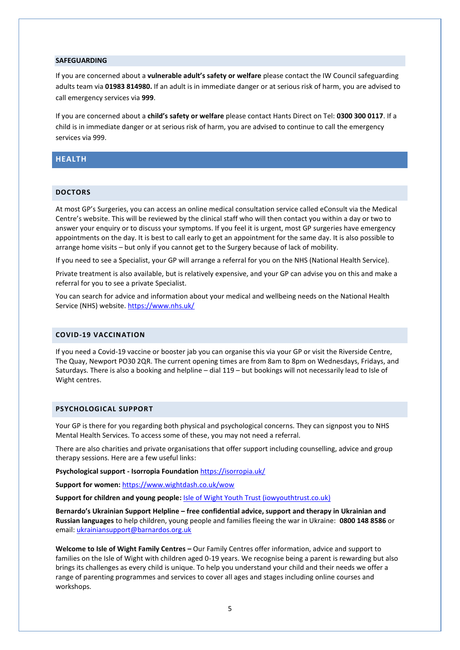#### **SAFEGUARDING**

If you are concerned about a **vulnerable adult's safety or welfare** please contact the IW Council safeguarding adults team via **01983 814980.** If an adult is in immediate danger or at serious risk of harm, you are advised to call emergency services via **999**.

If you are concerned about a **child's safety or welfare** please contact Hants Direct on Tel: **0300 300 0117**. If a child is in immediate danger or at serious risk of harm, you are advised to continue to call the emergency services via 999.

# <span id="page-5-0"></span>**HEALTH**

#### <span id="page-5-1"></span>**DOCTORS**

At most GP's Surgeries, you can access an online medical consultation service called eConsult via the Medical Centre's website. This will be reviewed by the clinical staff who will then contact you within a day or two to answer your enquiry or to discuss your symptoms. If you feel it is urgent, most GP surgeries have emergency appointments on the day. It is best to call early to get an appointment for the same day. It is also possible to arrange home visits – but only if you cannot get to the Surgery because of lack of mobility.

If you need to see a Specialist, your GP will arrange a referral for you on the NHS (National Health Service).

Private treatment is also available, but is relatively expensive, and your GP can advise you on this and make a referral for you to see a private Specialist.

You can search for advice and information about your medical and wellbeing needs on the National Health Service (NHS) website[. https://www.nhs.uk/](https://www.nhs.uk/)

# <span id="page-5-2"></span>**COVID-19 VACCINATION**

If you need a Covid-19 vaccine or booster jab you can organise this via your GP or visit the Riverside Centre, The Quay, Newport PO30 2QR. The current opening times are from 8am to 8pm on Wednesdays, Fridays, and Saturdays. There is also a booking and helpline – dial 119 – but bookings will not necessarily lead to Isle of Wight centres.

#### <span id="page-5-3"></span>**PSYCHOLOGICAL SUPPORT**

Your GP is there for you regarding both physical and psychological concerns. They can signpost you to NHS Mental Health Services. To access some of these, you may not need a referral.

There are also charities and private organisations that offer support including counselling, advice and group therapy sessions. Here are a few useful links:

**Рsychological support - Isorropia Foundation** <https://isorropia.uk/>

**Support for women:** <https://www.wightdash.co.uk/wow>

**Support for children and young people:** [Isle of Wight Youth Trust \(iowyouthtrust.co.uk\)](https://www.iowyouthtrust.co.uk/)

**Bernardo's Ukrainian Support Helpline – free confidential advice, support and therapy in Ukrainian and Russian languages** to help children, young people and families fleeing the war in Ukraine: **0800 148 8586** or email[: ukrainiansupport@barnardos.org.uk](mailto:ukrainiansupport@barnardos.org.uk)

**Welcome to Isle of Wight Family Centres –** Our Family Centres offer information, advice and support to families on the Isle of Wight with children aged 0-19 years. We recognise being a parent is rewarding but also brings its challenges as every child is unique. To help you understand your child and their needs we offer a range of parenting programmes and services to cover all ages and stages including online courses and workshops.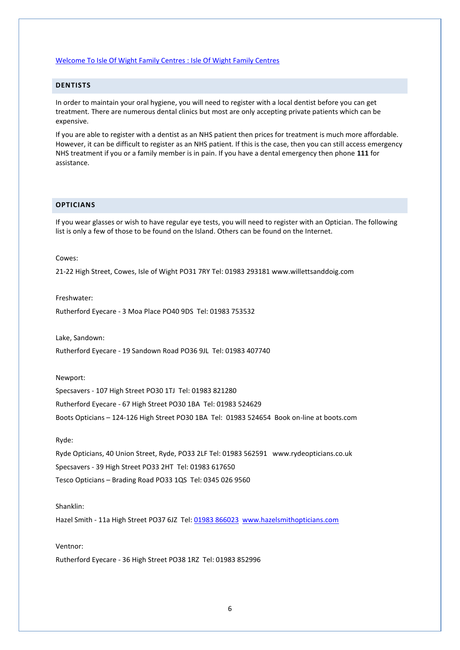#### [Welcome To Isle Of Wight Family Centres : Isle Of Wight Family Centres](https://www.isleofwightfamilycentres.org.uk/)

#### <span id="page-6-0"></span>**DENTISTS**

In order to maintain your oral hygiene, you will need to register with a local dentist before you can get treatment. There are numerous dental clinics but most are only accepting private patients which can be expensive.

If you are able to register with a dentist as an NHS patient then prices for treatment is much more affordable. However, it can be difficult to register as an NHS patient. If this is the case, then you can still access emergency NHS treatment if you or a family member is in pain. If you have a dental emergency then phone **111** for assistance.

#### <span id="page-6-1"></span>**OPTICIANS**

If you wear glasses or wish to have regular eye tests, you will need to register with an Optician. The following list is only a few of those to be found on the Island. Others can be found on the Internet.

#### Cowes:

21-22 High Street, Cowes, Isle of Wight PO31 7RY Tel: 01983 [293181](tel:01983%20293181) www.willettsanddoig.com

#### Freshwater:

Rutherford Eyecare - 3 Moa Place PO40 9DS Tel: 01983 753532

Lake, Sandown:

Rutherford Eyecare - 19 Sandown Road PO36 9JL Tel: 01983 407740

#### Newport:

Specsavers - 107 High Street PO30 1TJ Tel: 01983 821280 Rutherford Eyecare - 67 High Street PO30 1BA Tel: 01983 524629 Boots Opticians – 124-126 High Street PO30 1BA Tel: 01983 524654 Book on-line at boots.com

#### Ryde:

Ryde Opticians, 40 Union Street, Ryde, PO33 2LF Tel: 01983 562591 www.rydeopticians.co.uk Specsavers - 39 High Street PO33 2HT Tel: 01983 617650 Tesco Opticians – Brading Road PO33 1QS Tel: 0345 026 9560

#### Shanklin:

Hazel Smith - 11a High Street PO37 6JZ Tel: [01983 866023](tel:01983%20866023) [www.hazelsmithopticians.com](http://www.hazelsmithopticians.com/)

#### Ventnor:

Rutherford Eyecare - 36 High Street PO38 1RZ Tel: 01983 852996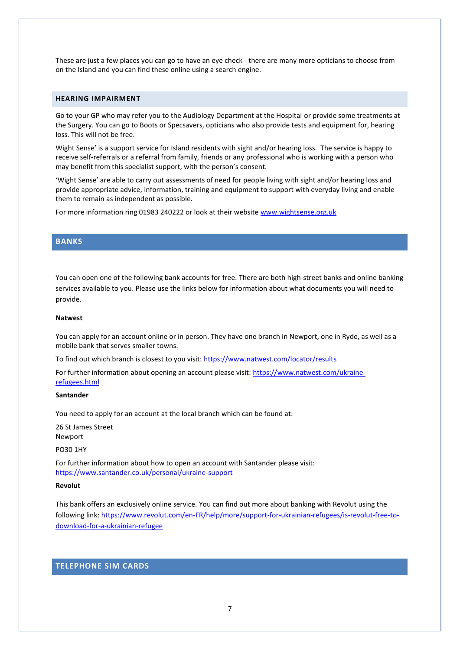These are just a few places you can go to have an eye check - there are many more opticians to choose from on the Island and you can find these online using a search engine.

# <span id="page-7-0"></span>**HEARING IMPAIRMENT**

Go to your GP who may refer you to the Audiology Department at the Hospital or provide some treatments at the Surgery. You can go to Boots or Specsavers, opticians who also provide tests and equipment for, hearing loss. This will not be free.

Wight Sense' is a support service for Island residents with sight and/or hearing loss. The service is happy to receive self-referrals or a referral from family, friends or any professional who is working with a person who may benefit from this specialist support, with the person's consent.

'Wight Sense' are able to carry out assessments of need for people living with sight and/or hearing loss and provide appropriate advice, information, training and equipment to support with everyday living and enable them to remain as independent as possible.

For more information ring 01983 240222 or look at their website [www.wightsense.org.uk](http://www.wightsense.org.uk/)

# <span id="page-7-1"></span>**BANKS**

You can open one of the following bank accounts for free. There are both high-street banks and online banking services available to you. Please use the links below for information about what documents you will need to provide.

#### **Natwest**

You can apply for an account online or in person. They have one branch in Newport, one in Ryde, as well as a mobile bank that serves smaller towns.

To find out which branch is closest to you visit:<https://www.natwest.com/locator/results>

For further information about opening an account please visit: [https://www.natwest.com/ukraine](https://www.natwest.com/ukraine-refugees.html)[refugees.html](https://www.natwest.com/ukraine-refugees.html)

#### **Santander**

You need to apply for an account at the local branch which can be found at:

26 St James Street Newport

#### PO30 1HY

For further information about how to open an account with Santander please visit: <https://www.santander.co.uk/personal/ukraine-support>

#### **Revolut**

This bank offers an exclusively online service. You can find out more about banking with Revolut using the following link: [https://www.revolut.com/en-FR/help/more/support-for-ukrainian-refugees/is-revolut-free-to](https://www.revolut.com/en-FR/help/more/support-for-ukrainian-refugees/is-revolut-free-to-download-for-a-ukrainian-refugee)[download-for-a-ukrainian-refugee](https://www.revolut.com/en-FR/help/more/support-for-ukrainian-refugees/is-revolut-free-to-download-for-a-ukrainian-refugee)

#### <span id="page-7-2"></span>**TELEPHONE SIM CARDS**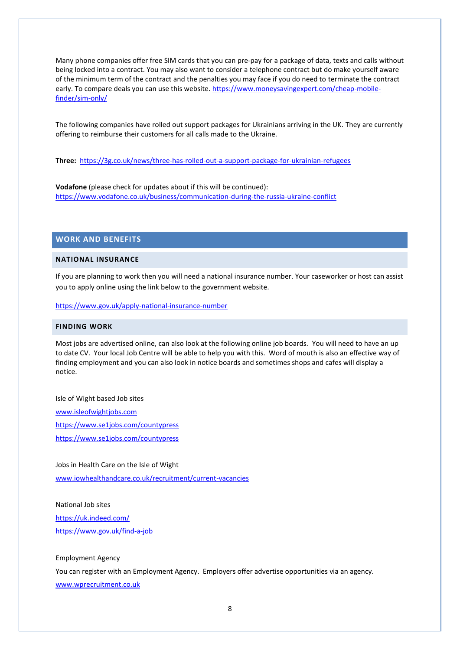Many phone companies offer free SIM cards that you can pre-pay for a package of data, texts and calls without being locked into a contract. You may also want to consider a telephone contract but do make yourself aware of the minimum term of the contract and the penalties you may face if you do need to terminate the contract early. To compare deals you can use this website. [https://www.moneysavingexpert.com/cheap-mobile](https://www.moneysavingexpert.com/cheap-mobile-finder/sim-only/)[finder/sim-only/](https://www.moneysavingexpert.com/cheap-mobile-finder/sim-only/)

The following companies have rolled out support packages for Ukrainians arriving in the UK. They are currently offering to reimburse their customers for all calls made to the Ukraine.

**Three:** <https://3g.co.uk/news/three-has-rolled-out-a-support-package-for-ukrainian-refugees>

**Vodafone** (please check for updates about if this will be continued): <https://www.vodafone.co.uk/business/communication-during-the-russia-ukraine-conflict>

#### <span id="page-8-0"></span>**WORK AND BENEFITS**

#### <span id="page-8-1"></span>**NATIONAL INSURANCE**

If you are planning to work then you will need a national insurance number. Your caseworker or host can assist you to apply online using the link below to the government website.

<https://www.gov.uk/apply-national-insurance-number>

# <span id="page-8-2"></span>**FINDING WORK**

Most jobs are advertised online, can also look at the following online job boards. You will need to have an up to date CV. Your local Job Centre will be able to help you with this. Word of mouth is also an effective way of finding employment and you can also look in notice boards and sometimes shops and cafes will display a notice.

#### Isle of Wight based Job sites

[www.isleofwightjobs.com](https://www.isleofwightjobs.com/) <https://www.se1jobs.com/countypress> <https://www.se1jobs.com/countypress>

#### Jobs in Health Care on the Isle of Wight

[www.iowhealthandcare.co.uk/recruitment/current-vacancies](http://www.iowhealthandcare.co.uk/recruitment/current-vacancies)

#### National Job sites

<https://uk.indeed.com/> <https://www.gov.uk/find-a-job>

#### Employment Agency

You can register with an Employment Agency. Employers offer advertise opportunities via an agency. [www.wprecruitment.co.uk](http://www.wprecruitment.co.uk/)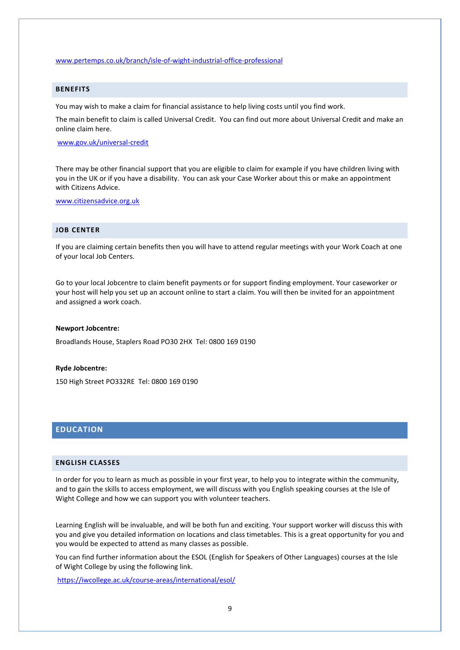#### [www.pertemps.co.uk/branch/isle-of-wight-industrial-office-professional](http://www.pertemps.co.uk/branch/isle-of-wight-industrial-office-professional)

# <span id="page-9-0"></span>**BENEFITS**

You may wish to make a claim for financial assistance to help living costs until you find work.

The main benefit to claim is called Universal Credit. You can find out more about Universal Credit and make an online claim here.

[www.gov.uk/universal-credit](http://www.gov.uk/universal-credit)

There may be other financial support that you are eligible to claim for example if you have children living with you in the UK or if you have a disability. You can ask your Case Worker about this or make an appointment with Citizens Advice.

[www.citizensadvice.org.uk](http://www.citizensadvice.org.uk/)

#### <span id="page-9-1"></span>**JOB CENTER**

If you are claiming certain benefits then you will have to attend regular meetings with your Work Coach at one of your local Job Centers.

Go to your local Jobcentre to claim benefit payments or for support finding employment. Your caseworker or your host will help you set up an account online to start a claim. You will then be invited for an appointment and assigned a work coach.

#### **Newport Jobcentre:**

Broadlands House, Staplers Road PO30 2HX Tel: 0800 169 0190

#### **Ryde Jobcentre:**

150 High Street PO332RE Tel: 0800 169 0190

# <span id="page-9-2"></span>**EDUCATION**

#### <span id="page-9-3"></span>**ENGLISH CLASSES**

In order for you to learn as much as possible in your first year, to help you to integrate within the community, and to gain the skills to access employment, we will discuss with you English speaking courses at the Isle of Wight College and how we can support you with volunteer teachers.

Learning English will be invaluable, and will be both fun and exciting. Your support worker will discuss this with you and give you detailed information on locations and class timetables. This is a great opportunity for you and you would be expected to attend as many classes as possible.

You can find further information about the ESOL (English for Speakers of Other Languages) courses at the Isle of Wight College by using the following link.

<https://iwcollege.ac.uk/course-areas/international/esol/>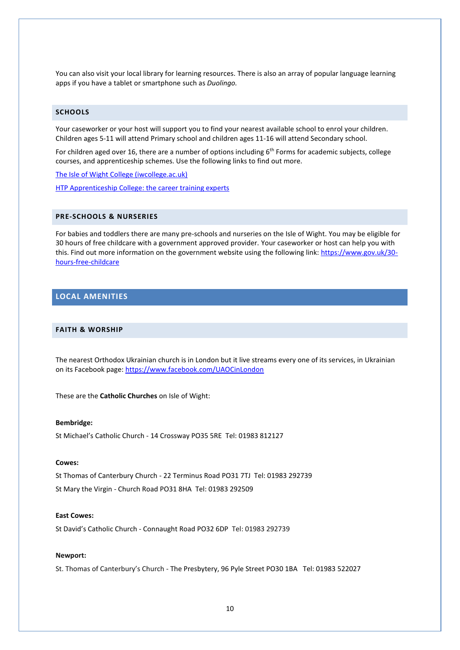You can also visit your local library for learning resources. There is also an array of popular language learning apps if you have a tablet or smartphone such as *Duolingo.*

# <span id="page-10-0"></span>**SCHOOLS**

Your caseworker or your host will support you to find your nearest available school to enrol your children. Children ages 5-11 will attend Primary school and children ages 11-16 will attend Secondary school.

For children aged over 16, there are a number of options including  $6<sup>th</sup>$  Forms for academic subjects, college courses, and apprenticeship schemes. Use the following links to find out more.

[The Isle of Wight College \(iwcollege.ac.uk\)](https://iwcollege.ac.uk/)

[HTP Apprenticeship College: the career training experts](https://www.htp.ac.uk/)

# <span id="page-10-1"></span>**PRE-SCHOOLS & NURSERIES**

For babies and toddlers there are many pre-schools and nurseries on the Isle of Wight. You may be eligible for 30 hours of free childcare with a government approved provider. Your caseworker or host can help you with this. Find out more information on the government website using the following link[: https://www.gov.uk/30](https://www.gov.uk/30-hours-free-childcare) [hours-free-childcare](https://www.gov.uk/30-hours-free-childcare)

# <span id="page-10-2"></span>**LOCAL AMENITIES**

#### <span id="page-10-3"></span>**FAITH & WORSHIP**

The nearest Orthodox Ukrainian church is in London but it live streams every one of its services, in Ukrainian on its Facebook page[: https://www.facebook.com/UAOCinLondon](https://www.facebook.com/UAOCinLondon)

These are the **Catholic Churches** on Isle of Wight:

#### **Bembridge:**

St Michael's Catholic Church - 14 Crossway PO35 5RE Tel: 01983 812127

#### **Cowes:**

St Thomas of Canterbury Church - 22 Terminus Road PO31 7TJ Tel: 01983 292739 St Mary the Virgin - Church Road PO31 8HA Tel: 01983 292509

#### **East Cowes:**

St David's Catholic Church - Connaught Road PO32 6DP Tel: 01983 292739

#### **Newport:**

St. Thomas of Canterbury's Church - The Presbytery, 96 Pyle Street PO30 1BA Tel: 01983 522027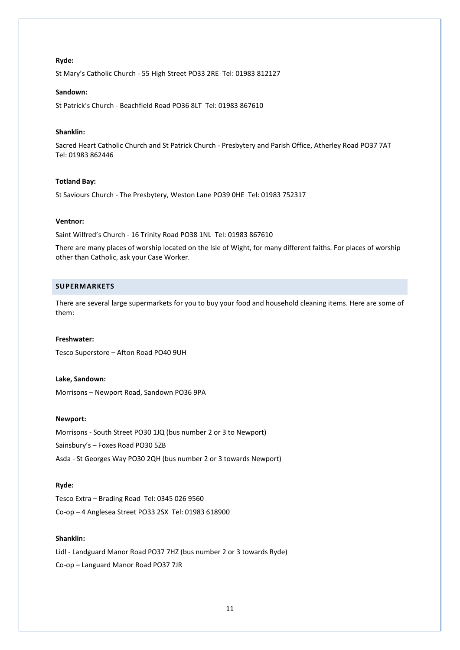#### **Ryde:**

St Mary's Catholic Church - 55 High Street PO33 2RE Tel: 01983 812127

#### **Sandown:**

St Patrick's Church - Beachfield Road PO36 8LT Tel: 01983 867610

#### **Shanklin:**

Sacred Heart Catholic Church and St Patrick Church - Presbytery and Parish Office, Atherley Road PO37 7AT Tel: 01983 862446

#### **Totland Bay:**

St Saviours Church - The Presbytery, Weston Lane PO39 0HE Tel: 01983 752317

#### **Ventnor:**

Saint Wilfred's Church - 16 Trinity Road PO38 1NL Tel: 01983 867610

There are many places of worship located on the Isle of Wight, for many different faiths. For places of worship other than Catholic, ask your Case Worker.

#### <span id="page-11-0"></span>**SUPERMARKETS**

There are several large supermarkets for you to buy your food and household cleaning items. Here are some of them:

#### **Freshwater:**

Tesco Superstore – Afton Road PO40 9UH

#### **Lake, Sandown:**

Morrisons – Newport Road, Sandown PO36 9PA

#### **Newport:**

Morrisons - South Street PO30 1JQ (bus number 2 or 3 to Newport) Sainsbury's – Foxes Road PO30 5ZB Asda - St Georges Way PO30 2QH (bus number 2 or 3 towards Newport)

#### **Ryde:**

Tesco Extra – Brading Road Tel: 0345 026 9560 Co-op – 4 Anglesea Street PO33 2SX Tel: 01983 618900

# **Shanklin:**

Lidl - Landguard Manor Road PO37 7HZ (bus number 2 or 3 towards Ryde) Co-op – Languard Manor Road PO37 7JR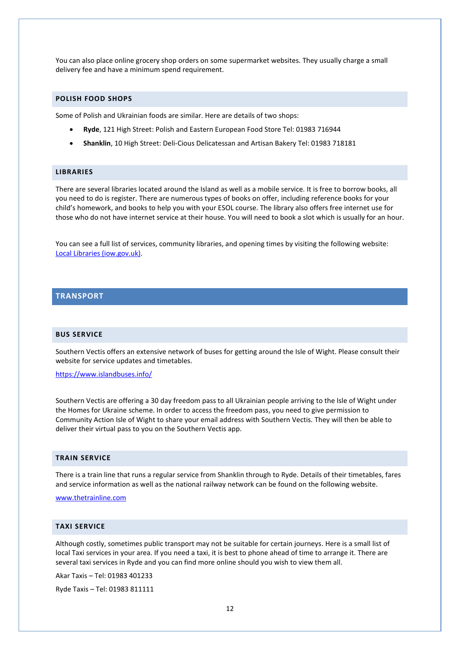You can also place online grocery shop orders on some supermarket websites. They usually charge a small delivery fee and have a minimum spend requirement.

# <span id="page-12-0"></span>**POLISH FOOD SHOPS**

Some of Polish and Ukrainian foods are similar. Here are details of two shops:

- **Ryde**, 121 High Street: Polish and Eastern European Food Store Tel: 01983 716944
- **Shanklin**, 10 High Street: Deli-Cious Delicatessan and Artisan Bakery Tel: 01983 718181

#### <span id="page-12-1"></span>**LIBRARIES**

There are several libraries located around the Island as well as a mobile service. It is free to borrow books, all you need to do is register. There are numerous types of books on offer, including reference books for your child's homework, and books to help you with your ESOL course. The library also offers free internet use for those who do not have internet service at their house. You will need to book a slot which is usually for an hour.

You can see a full list of services, community libraries, and opening times by visiting the following website: [Local Libraries \(iow.gov.uk\).](https://www.iow.gov.uk/Residents/Libraries-Cultural-and-Heritage/Local-Libraries/)

# <span id="page-12-2"></span>**TRANSPORT**

# <span id="page-12-3"></span>**BUS SERVICE**

Southern Vectis offers an extensive network of buses for getting around the Isle of Wight. Please consult their website for service updates and timetables.

<https://www.islandbuses.info/>

Southern Vectis are offering a 30 day freedom pass to all Ukrainian people arriving to the Isle of Wight under the Homes for Ukraine scheme. In order to access the freedom pass, you need to give permission to Community Action Isle of Wight to share your email address with Southern Vectis. They will then be able to deliver their virtual pass to you on the Southern Vectis app.

#### <span id="page-12-4"></span>**TRAIN SERVICE**

There is a train line that runs a regular service from Shanklin through to Ryde. Details of their timetables, fares and service information as well as the national railway network can be found on the following website.

#### [www.thetrainline.com](http://www.thetrainline.com/)

#### <span id="page-12-5"></span>**TAXI SERVICE**

Although costly, sometimes public transport may not be suitable for certain journeys. Here is a small list of local Taxi services in your area. If you need a taxi, it is best to phone ahead of time to arrange it. There are several taxi services in Ryde and you can find more online should you wish to view them all.

Akar Taxis – Tel: 01983 401233

Ryde Taxis – Tel: 01983 811111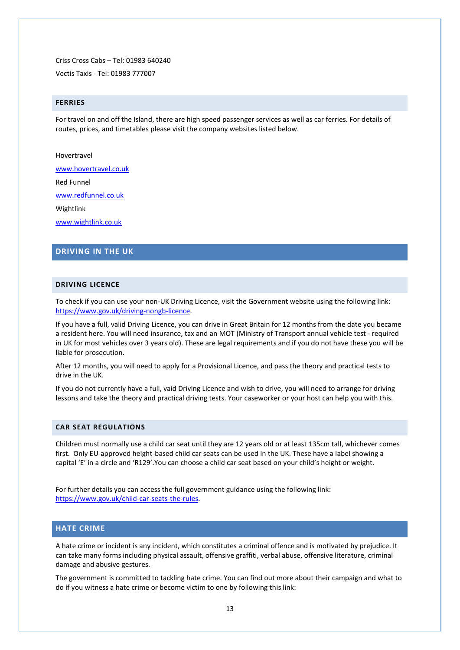Criss Cross Cabs – Tel: 01983 640240

Vectis Taxis - Tel: 01983 777007

#### <span id="page-13-0"></span>**FERRIES**

For travel on and off the Island, there are high speed passenger services as well as car ferries. For details of routes, prices, and timetables please visit the company websites listed below.

Hovertravel

[www.hovertravel.co.uk](https://www.hovertravel.co.uk/)

Red Funnel

[www.redfunnel.co.uk](https://www.redfunnel.co.uk/)

Wightlink

[www.wightlink.co.uk](https://www.wightlink.co.uk/)

# <span id="page-13-1"></span>**DRIVING IN THE UK**

# <span id="page-13-2"></span>**DRIVING LICENCE**

To check if you can use your non-UK Driving Licence, visit the Government website using the following link: [https://www.gov.uk/driving-nongb-licence.](https://www.gov.uk/driving-nongb-licence)

If you have a full, valid Driving Licence, you can drive in Great Britain for 12 months from the date you became a resident here. You will need insurance, tax and an MOT (Ministry of Transport annual vehicle test - required in UK for most vehicles over 3 years old). These are legal requirements and if you do not have these you will be liable for prosecution.

After 12 months, you will need to apply for a Provisional Licence, and pass the theory and practical tests to drive in the UK.

If you do not currently have a full, vaid Driving Licence and wish to drive, you will need to arrange for driving lessons and take the theory and practical driving tests. Your caseworker or your host can help you with this.

#### <span id="page-13-3"></span>**CAR SEAT REGULATIONS**

Children must normally use a child car seat until they are 12 years old or at least 135cm tall, whichever comes first. Only EU-approved height-based child car seats can be used in the UK. These have a label showing a capital 'E' in a circle and 'R129'.You can choose a child car seat based on your child's height or weight.

For further details you can access the full government guidance using the following link: [https://www.gov.uk/child-car-seats-the-rules.](https://www.gov.uk/child-car-seats-the-rules)

# <span id="page-13-4"></span>**HATE CRIME**

A hate crime or incident is any incident, which constitutes a criminal offence and is motivated by prejudice. It can take many forms including physical assault, offensive graffiti, verbal abuse, offensive literature, criminal damage and abusive gestures.

The government is committed to tackling hate crime. You can find out more about their campaign and what to do if you witness a hate crime or become victim to one by following this link: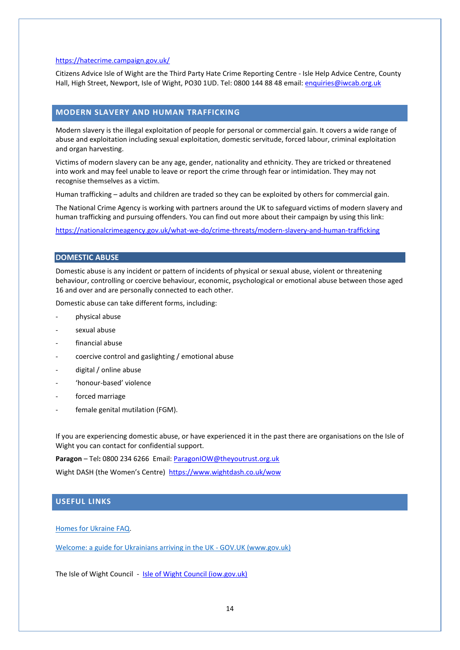#### <https://hatecrime.campaign.gov.uk/>

Citizens Advice Isle of Wight are the Third Party Hate Crime Reporting Centre - Isle Help Advice Centre, County Hall, High Street, Newport, Isle of Wight, PO30 1UD. Tel: 0800 144 88 48 email: [enquiries@iwcab.org.uk](mailto:enquiries@iwcab.org.uk)

# <span id="page-14-0"></span>**MODERN SLAVERY AND HUMAN TRAFFICKING**

Modern slavery is the illegal exploitation of people for personal or commercial gain. It covers a wide range of abuse and exploitation including sexual exploitation, domestic servitude, forced labour, criminal exploitation and organ harvesting.

Victims of modern slavery can be any age, gender, nationality and ethnicity. They are tricked or threatened into work and may feel unable to leave or report the crime through fear or intimidation. They may not recognise themselves as a victim.

Human trafficking – adults and children are traded so they can be exploited by others for commercial gain.

The National Crime Agency is working with partners around the UK to safeguard victims of modern slavery and human trafficking and pursuing offenders. You can find out more about their campaign by using this link:

<https://nationalcrimeagency.gov.uk/what-we-do/crime-threats/modern-slavery-and-human-trafficking>

# **DOMESTIC ABUSE**

Domestic abuse is any incident or pattern of incidents of physical or sexual abuse, violent or threatening behaviour, controlling or coercive behaviour, economic, psychological or emotional abuse between those aged 16 and over and are personally connected to each other.

Domestic abuse can take different forms, including:

- physical abuse
- sexual abuse
- financial abuse
- coercive control and gaslighting / emotional abuse
- digital / online abuse
- 'honour-based' violence
- forced marriage
- female genital mutilation (FGM).

If you are experiencing domestic abuse, or have experienced it in the past there are organisations on the Isle of Wight you can contact for confidential support.

**Paragon** – Tel**:** 0800 234 6266 Email: [ParagonIOW@theyoutrust.org.uk](mailto:ParagonIOW@theyoutrust.org.uk)

Wight DASH (the Women's Centre) <https://www.wightdash.co.uk/wow>

# <span id="page-14-1"></span>**USEFUL LINKS**

[Homes for Ukraine](https://eur01.safelinks.protection.outlook.com/?url=https%3A%2F%2Fwww.gov.uk%2Fguidance%2Fhomes-for-ukraine-scheme-frequently-asked-questions%23linking-up-with-a-guest&data=04%7C01%7CLucy.Mayor%40kent.gov.uk%7Cc3feaa3ff81d4034fc9d08da122ffa3c%7C3253a20dc7354bfea8b73e6ab37f5f90%7C0%7C0%7C637842294541547661%7CUnknown%7CTWFpbGZsb3d8eyJWIjoiMC4wLjAwMDAiLCJQIjoiV2luMzIiLCJBTiI6Ik1haWwiLCJXVCI6Mn0%3D%7C3000&sdata=EAJS4AEGIR5kiC8dIYcaDE8pH98414Kqh9Xppe2FEhk%3D&reserved=0) FAQ.

[Welcome: a guide for Ukrainians arriving in the UK -](https://www.gov.uk/government/publications/welcome-a-guide-for-ukrainians-arriving-in-the-uk) GOV.UK (www.gov.uk)

The Isle of Wight Council - [Isle of Wight Council \(iow.gov.uk\)](https://www.iow.gov.uk/)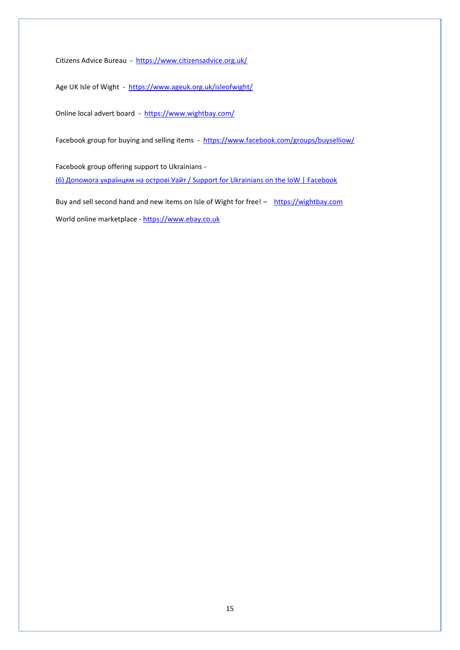Citizens Advice Bureau - <https://www.citizensadvice.org.uk/>

Age UK Isle of Wight - <https://www.ageuk.org.uk/isleofwight/>

Online local advert board - <https://www.wightbay.com/>

Facebook group for buying and selling items - <https://www.facebook.com/groups/buyselliow/>

Facebook group offering support to Ukrainians -

[\(6\) Допомога українцям на острові Уайт / Support for Ukrainians on the IoW | Facebook](https://www.facebook.com/groups/387208256238430)

Buy and sell second hand and new items on Isle of Wight for free! - [https://wightbay.com](https://wightbay.com/)

World online marketplace - [https://www.ebay.co.uk](https://www.ebay.co.uk/)